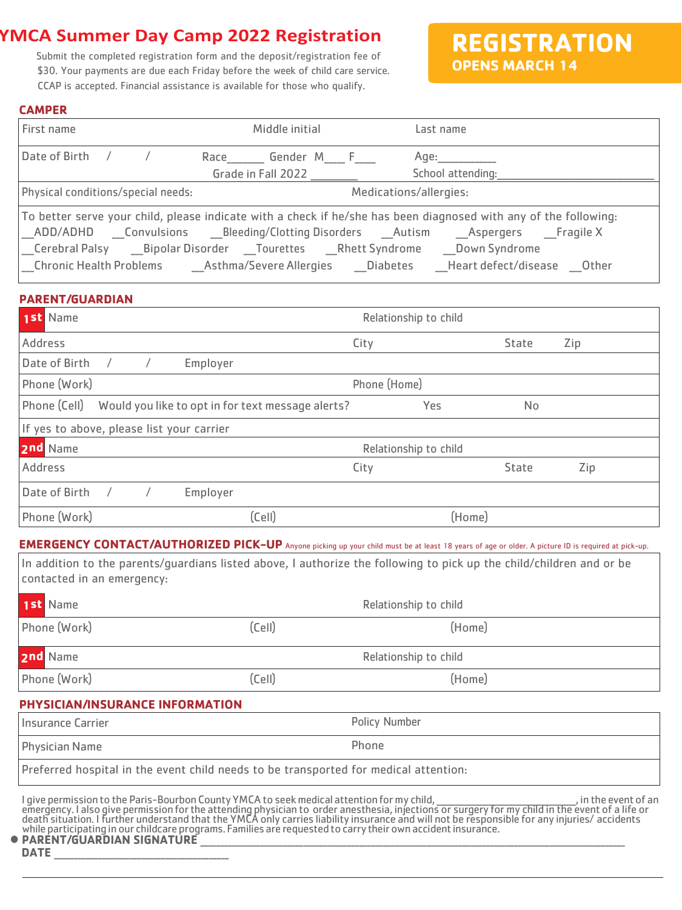# **YMCA Summer Day Camp 2022 Registration**

Submit the completed registration form and the deposit/registration fee of \$30. Your payments are due each Friday before the week of child care service. CCAP is accepted. Financial assistance is available for those who qualify.

**REGISTRATION OPENS MARCH 14**

#### **CAMPER**

| First name                         | Middle initial                        | Last name                                                                                                                                                                                                         |  |
|------------------------------------|---------------------------------------|-------------------------------------------------------------------------------------------------------------------------------------------------------------------------------------------------------------------|--|
| Date of Birth $/$ /                | Race Gender M F<br>Grade in Fall 2022 | Age:____________<br>School attending:<br><u>School attending:</u>                                                                                                                                                 |  |
| Physical conditions/special needs: |                                       | Medications/allergies:                                                                                                                                                                                            |  |
|                                    |                                       | To better serve your child, please indicate with a check if he/she has been diagnosed with any of the following:<br>  Chronic Health Problems   Asthma/Severe Allergies   Diabetes   Heart defect/disease   Other |  |

### **PARENT/GUARDIAN**

| 1st Name                                                          | Relationship to child |        |     |  |  |
|-------------------------------------------------------------------|-----------------------|--------|-----|--|--|
| Address                                                           | City                  | State  | Zip |  |  |
| Date of Birth<br>Employer                                         |                       |        |     |  |  |
| Phone (Work)<br>Phone (Home)                                      |                       |        |     |  |  |
| Phone (Cell)<br>Would you like to opt in for text message alerts? | Yes                   | No     |     |  |  |
| If yes to above, please list your carrier                         |                       |        |     |  |  |
| 2nd Name                                                          | Relationship to child |        |     |  |  |
| Address                                                           | City                  | State  | Zip |  |  |
| Date of Birth<br>Employer                                         |                       |        |     |  |  |
| Phone (Work)<br>(Cell)                                            |                       | (Home) |     |  |  |

**EMERGENCY CONTACT/AUTHORIZED PICK-UP** Anyone picking up your child must be at least 18 years of age or older. A picture ID is required at pick-up.

**1st**  contacted in an emergency: In addition to the parents/guardians listed above, I authorize the following to pick up the child/children and or be

| <b>1st</b> Name                    |                                                                                                              | Relationship to child                                                                                                                                                                                                            |                      |  |
|------------------------------------|--------------------------------------------------------------------------------------------------------------|----------------------------------------------------------------------------------------------------------------------------------------------------------------------------------------------------------------------------------|----------------------|--|
| Phone (Work)                       | (Cell)                                                                                                       | (Home)                                                                                                                                                                                                                           |                      |  |
| 2nd Name                           |                                                                                                              | Relationship to child                                                                                                                                                                                                            |                      |  |
| Phone (Work)                       | (Cell)                                                                                                       | (Home)                                                                                                                                                                                                                           |                      |  |
| PHYSICIAN/INSURANCE INFORMATION    |                                                                                                              |                                                                                                                                                                                                                                  |                      |  |
| <b>Insurance Carrier</b>           |                                                                                                              | <b>Policy Number</b>                                                                                                                                                                                                             |                      |  |
| <b>Physician Name</b>              |                                                                                                              | Phone                                                                                                                                                                                                                            |                      |  |
|                                    | Preferred hospital in the event child needs to be transported for medical attention:                         |                                                                                                                                                                                                                                  |                      |  |
| <b>DADENT/GIIADNIAN CIGNATIIDE</b> | while participating in our childcare programs. Families are requested to carry their own accident insurance. | I give permission to the Paris-Bourbon County YMCA to seek medical attention for my child,<br>emergency. I also give permission for the attending physician to order anesthesia, injections or surgery for my child in the event | , in the event of an |  |

#### PARENT/GUARDIAN SIGNATURE

**DATE** \_\_\_\_\_\_\_\_\_\_\_\_\_\_\_\_\_\_\_\_\_\_\_\_\_\_\_\_\_\_\_\_\_\_\_\_\_\_\_\_\_\_\_\_